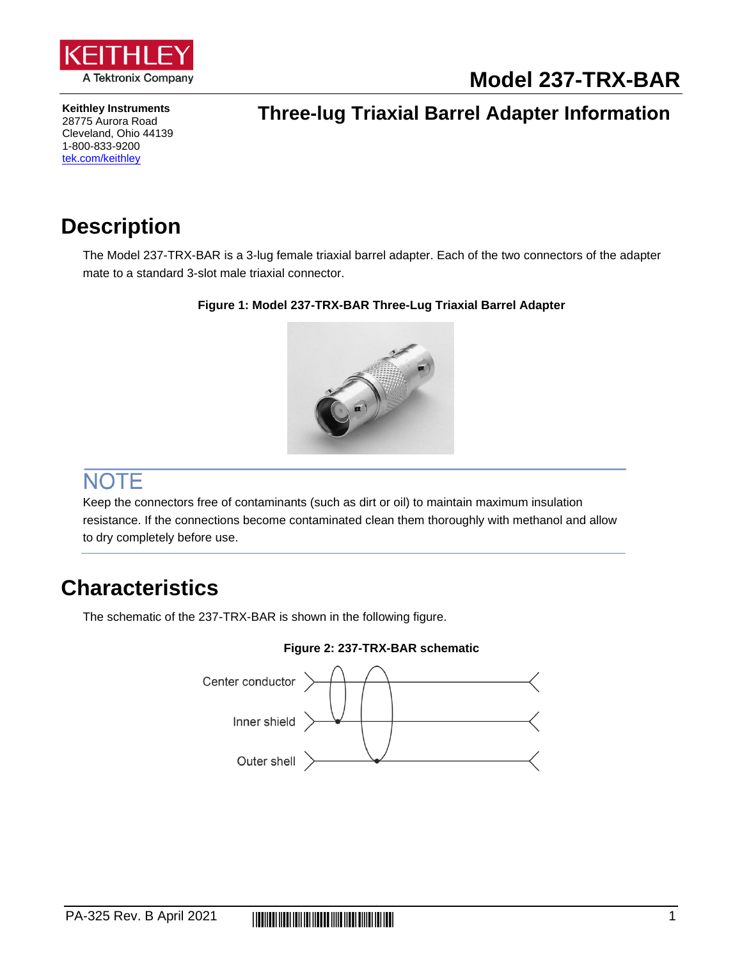

## **Model 237-TRX-BAR**

**Keithley Instruments** 28775 Aurora Road Cleveland, Ohio 44139 1-800-833-9200 [tek.com/keithley](https://www.tek.com/keithley)

#### **Three-lug Triaxial Barrel Adapter Information**

## **Description**

The Model 237-TRX-BAR is a 3-lug female triaxial barrel adapter. Each of the two connectors of the adapter mate to a standard 3-slot male triaxial connector.

#### **Figure 1: Model 237-TRX-BAR Three-Lug Triaxial Barrel Adapter**



### **NOTE**

Keep the connectors free of contaminants (such as dirt or oil) to maintain maximum insulation resistance. If the connections become contaminated clean them thoroughly with methanol and allow to dry completely before use.

### **Characteristics**

The schematic of the 237-TRX-BAR is shown in the following figure.



#### **Figure 2: 237-TRX-BAR schematic**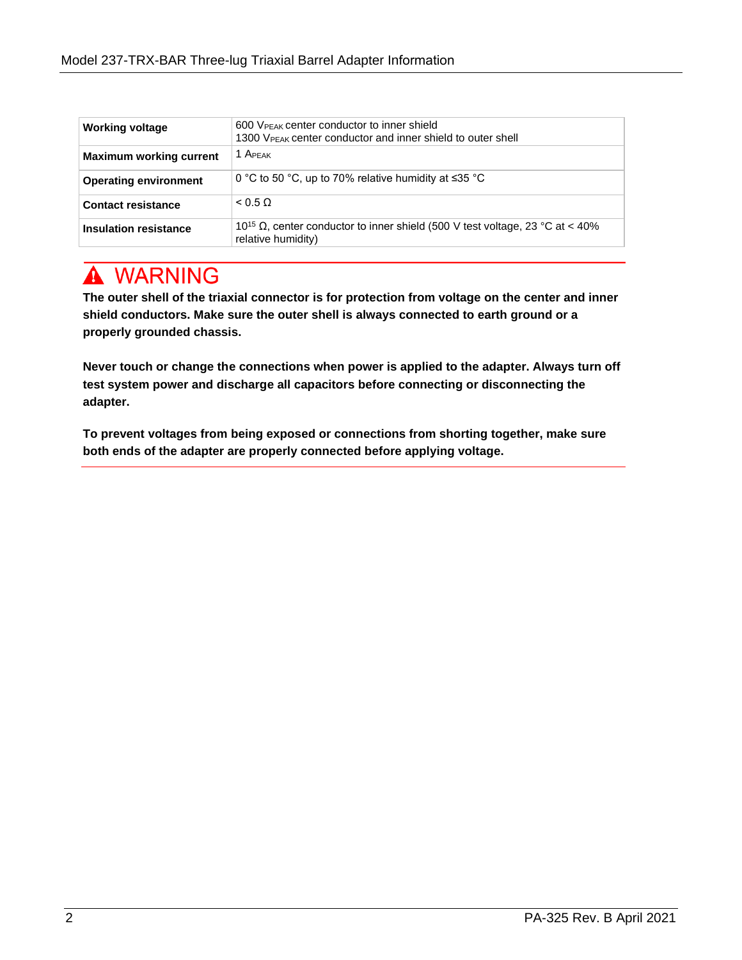| <b>Working voltage</b>         | 600 VPEAK center conductor to inner shield<br>1300 VPEAK center conductor and inner shield to outer shell      |
|--------------------------------|----------------------------------------------------------------------------------------------------------------|
| <b>Maximum working current</b> | 1 APFAK                                                                                                        |
| <b>Operating environment</b>   | 0 °C to 50 °C, up to 70% relative humidity at ≤35 °C                                                           |
| <b>Contact resistance</b>      | $< 0.5 \Omega$                                                                                                 |
| Insulation resistance          | 10 <sup>15</sup> Ω, center conductor to inner shield (500 V test voltage, 23 °C at < 40%<br>relative humidity) |

# **A WARNING**

**The outer shell of the triaxial connector is for protection from voltage on the center and inner shield conductors. Make sure the outer shell is always connected to earth ground or a properly grounded chassis.**

**Never touch or change the connections when power is applied to the adapter. Always turn off test system power and discharge all capacitors before connecting or disconnecting the adapter.**

**To prevent voltages from being exposed or connections from shorting together, make sure both ends of the adapter are properly connected before applying voltage.**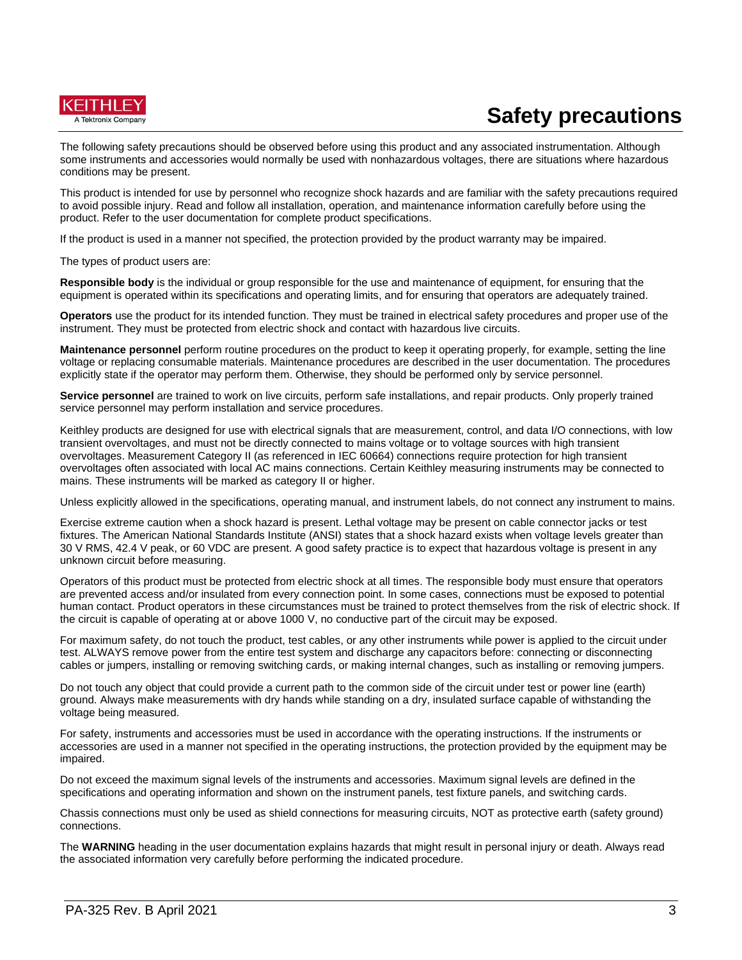

# **Safety precautions**

The following safety precautions should be observed before using this product and any associated instrumentation. Although some instruments and accessories would normally be used with nonhazardous voltages, there are situations where hazardous conditions may be present.

This product is intended for use by personnel who recognize shock hazards and are familiar with the safety precautions required to avoid possible injury. Read and follow all installation, operation, and maintenance information carefully before using the product. Refer to the user documentation for complete product specifications.

If the product is used in a manner not specified, the protection provided by the product warranty may be impaired.

The types of product users are:

**Responsible body** is the individual or group responsible for the use and maintenance of equipment, for ensuring that the equipment is operated within its specifications and operating limits, and for ensuring that operators are adequately trained.

**Operators** use the product for its intended function. They must be trained in electrical safety procedures and proper use of the instrument. They must be protected from electric shock and contact with hazardous live circuits.

**Maintenance personnel** perform routine procedures on the product to keep it operating properly, for example, setting the line voltage or replacing consumable materials. Maintenance procedures are described in the user documentation. The procedures explicitly state if the operator may perform them. Otherwise, they should be performed only by service personnel.

**Service personnel** are trained to work on live circuits, perform safe installations, and repair products. Only properly trained service personnel may perform installation and service procedures.

Keithley products are designed for use with electrical signals that are measurement, control, and data I/O connections, with low transient overvoltages, and must not be directly connected to mains voltage or to voltage sources with high transient overvoltages. Measurement Category II (as referenced in IEC 60664) connections require protection for high transient overvoltages often associated with local AC mains connections. Certain Keithley measuring instruments may be connected to mains. These instruments will be marked as category II or higher.

Unless explicitly allowed in the specifications, operating manual, and instrument labels, do not connect any instrument to mains.

Exercise extreme caution when a shock hazard is present. Lethal voltage may be present on cable connector jacks or test fixtures. The American National Standards Institute (ANSI) states that a shock hazard exists when voltage levels greater than 30 V RMS, 42.4 V peak, or 60 VDC are present. A good safety practice is to expect that hazardous voltage is present in any unknown circuit before measuring.

Operators of this product must be protected from electric shock at all times. The responsible body must ensure that operators are prevented access and/or insulated from every connection point. In some cases, connections must be exposed to potential human contact. Product operators in these circumstances must be trained to protect themselves from the risk of electric shock. If the circuit is capable of operating at or above 1000 V, no conductive part of the circuit may be exposed.

For maximum safety, do not touch the product, test cables, or any other instruments while power is applied to the circuit under test. ALWAYS remove power from the entire test system and discharge any capacitors before: connecting or disconnecting cables or jumpers, installing or removing switching cards, or making internal changes, such as installing or removing jumpers.

Do not touch any object that could provide a current path to the common side of the circuit under test or power line (earth) ground. Always make measurements with dry hands while standing on a dry, insulated surface capable of withstanding the voltage being measured.

For safety, instruments and accessories must be used in accordance with the operating instructions. If the instruments or accessories are used in a manner not specified in the operating instructions, the protection provided by the equipment may be impaired.

Do not exceed the maximum signal levels of the instruments and accessories. Maximum signal levels are defined in the specifications and operating information and shown on the instrument panels, test fixture panels, and switching cards.

Chassis connections must only be used as shield connections for measuring circuits, NOT as protective earth (safety ground) connections.

The **WARNING** heading in the user documentation explains hazards that might result in personal injury or death. Always read the associated information very carefully before performing the indicated procedure.